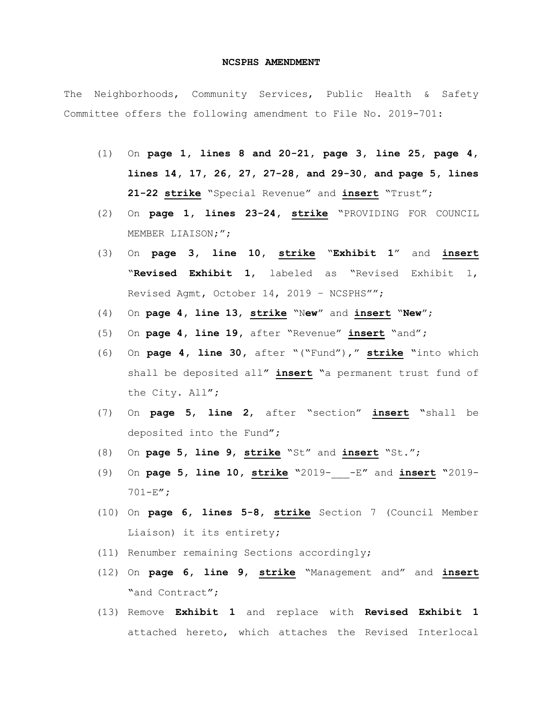## **NCSPHS AMENDMENT**

The Neighborhoods, Community Services, Public Health & Safety Committee offers the following amendment to File No. 2019-701:

- (1) On **page 1, lines 8 and 20-21, page 3, line 25, page 4, lines 14, 17, 26, 27, 27-28, and 29-30, and page 5, lines 21-22 strike** "Special Revenue" and **insert** "Trust";
- (2) On **page 1, lines 23-24, strike** "PROVIDING FOR COUNCIL MEMBER LIAISON;";
- (3) On **page 3, line 10, strike** "**Exhibit 1**" and **insert** "**Revised Exhibit 1**, labeled as "Revised Exhibit 1, Revised Agmt, October 14, 2019 – NCSPHS"";
- (4) On **page 4, line 13**, **strike** "N**ew**" and **insert** "**New**";
- (5) On **page 4, line 19,** after "Revenue" **insert** "and"**;**
- (6) On **page 4, line 30,** after "("Fund")," **strike "**into which shall be deposited all**" insert "**a permanent trust fund of the City. All**";**
- (7) On **page 5**, **line 2**, after "section" **insert "**shall be deposited into the Fund**";**
- (8) On **page 5, line 9**, **strike** "St" and **insert** "St.";
- (9) On **page 5, line 10, strike "**2019-\_\_\_-E**"** and **insert "**2019- 701-E**";**
- (10) On **page 6, lines 5-8, strike** Section 7 (Council Member Liaison) it its entirety**;**
- (11) Renumber remaining Sections accordingly;
- (12) On **page 6, line 9**, **strike** "Management and" and **insert "**and Contract**"**;
- (13) Remove **Exhibit 1** and replace with **Revised Exhibit 1** attached hereto, which attaches the Revised Interlocal